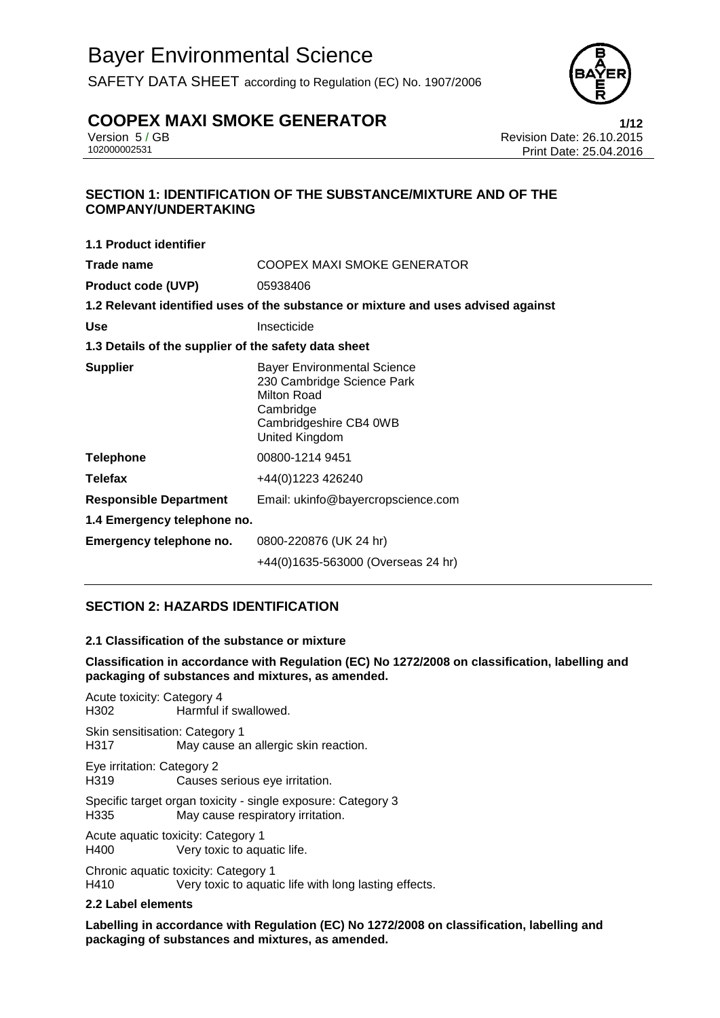SAFETY DATA SHEET according to Regulation (EC) No. 1907/2006



# **COOPEX MAXI SMOKE GENERATOR**<br>**Prevision 5/GB** Version 5/GB<br>**Revision Date: 26.10.2015**

Version 5 / GB Revision Date: 26.10.2015 Print Date: 25.04.2016

#### **SECTION 1: IDENTIFICATION OF THE SUBSTANCE/MIXTURE AND OF THE COMPANY/UNDERTAKING**

| <b>1.1 Product identifier</b>                        |                                                                                                                                          |  |  |
|------------------------------------------------------|------------------------------------------------------------------------------------------------------------------------------------------|--|--|
| Trade name                                           | COOPEX MAXI SMOKE GENERATOR                                                                                                              |  |  |
| <b>Product code (UVP)</b>                            | 05938406                                                                                                                                 |  |  |
|                                                      | 1.2 Relevant identified uses of the substance or mixture and uses advised against                                                        |  |  |
| <b>Use</b>                                           | Insecticide                                                                                                                              |  |  |
| 1.3 Details of the supplier of the safety data sheet |                                                                                                                                          |  |  |
| <b>Supplier</b>                                      | <b>Bayer Environmental Science</b><br>230 Cambridge Science Park<br>Milton Road<br>Cambridge<br>Cambridgeshire CB4 0WB<br>United Kingdom |  |  |
| <b>Telephone</b>                                     | 00800-1214 9451                                                                                                                          |  |  |
| Telefax                                              | +44(0)1223 426240                                                                                                                        |  |  |
| <b>Responsible Department</b>                        | Email: ukinfo@bayercropscience.com                                                                                                       |  |  |
| 1.4 Emergency telephone no.                          |                                                                                                                                          |  |  |
| Emergency telephone no.                              | 0800-220876 (UK 24 hr)                                                                                                                   |  |  |
|                                                      | +44(0)1635-563000 (Overseas 24 hr)                                                                                                       |  |  |

### **SECTION 2: HAZARDS IDENTIFICATION**

#### **2.1 Classification of the substance or mixture**

#### **Classification in accordance with Regulation (EC) No 1272/2008 on classification, labelling and packaging of substances and mixtures, as amended.**

Acute toxicity: Category 4 H302 Harmful if swallowed.

Skin sensitisation: Category 1 H317 May cause an allergic skin reaction.

Eye irritation: Category 2 H319 Causes serious eye irritation.

Specific target organ toxicity - single exposure: Category 3 H335 May cause respiratory irritation.

Acute aquatic toxicity: Category 1 H400 Very toxic to aquatic life.

Chronic aquatic toxicity: Category 1 H410 Very toxic to aquatic life with long lasting effects.

#### **2.2 Label elements**

**Labelling in accordance with Regulation (EC) No 1272/2008 on classification, labelling and packaging of substances and mixtures, as amended.**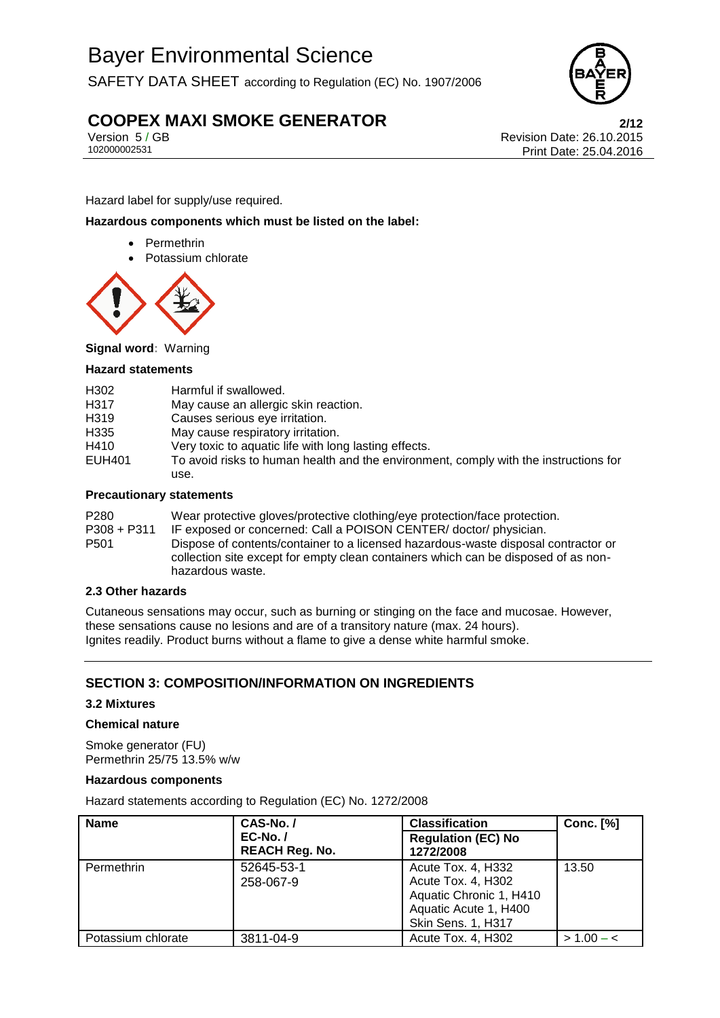SAFETY DATA SHEET according to Regulation (EC) No. 1907/2006



# **COOPEX MAXI SMOKE GENERATOR**<br>Version 5/GB<br>Revision Date: 26.10.2015

Version 5 / GB Revision Date: 26.10.2015 Print Date: 25.04.2016

Hazard label for supply/use required.

#### **Hazardous components which must be listed on the label:**

- Permethrin
- Potassium chlorate



**Signal word:** Warning

#### **Hazard statements**

| H302   | Harmful if swallowed.                                                                |
|--------|--------------------------------------------------------------------------------------|
| H317   | May cause an allergic skin reaction.                                                 |
| H319   | Causes serious eye irritation.                                                       |
| H335   | May cause respiratory irritation.                                                    |
| H410   | Very toxic to aquatic life with long lasting effects.                                |
| EUH401 | To avoid risks to human health and the environment, comply with the instructions for |
|        | use.                                                                                 |
|        |                                                                                      |

#### **Precautionary statements**

P280 Wear protective gloves/protective clothing/eye protection/face protection. P308 + P311 IF exposed or concerned: Call a POISON CENTER/ doctor/ physician. P501 Dispose of contents/container to a licensed hazardous-waste disposal contractor or collection site except for empty clean containers which can be disposed of as nonhazardous waste.

#### **2.3 Other hazards**

Cutaneous sensations may occur, such as burning or stinging on the face and mucosae. However, these sensations cause no lesions and are of a transitory nature (max. 24 hours). Ignites readily. Product burns without a flame to give a dense white harmful smoke.

### **SECTION 3: COMPOSITION/INFORMATION ON INGREDIENTS**

#### **3.2 Mixtures**

#### **Chemical nature**

Smoke generator (FU) Permethrin 25/75 13.5% w/w

#### **Hazardous components**

Hazard statements according to Regulation (EC) No. 1272/2008

| <b>Name</b>        | CAS-No./                            | <b>Classification</b>                                                                                              | <b>Conc.</b> [%] |  |
|--------------------|-------------------------------------|--------------------------------------------------------------------------------------------------------------------|------------------|--|
|                    | $EC-No. /$<br><b>REACH Reg. No.</b> | <b>Regulation (EC) No</b><br>1272/2008                                                                             |                  |  |
| Permethrin         | 52645-53-1<br>258-067-9             | Acute Tox. 4, H332<br>Acute Tox. 4, H302<br>Aquatic Chronic 1, H410<br>Aquatic Acute 1, H400<br>Skin Sens. 1, H317 | 13.50            |  |
| Potassium chlorate | 3811-04-9                           | Acute Tox. 4, H302                                                                                                 | $> 1.00 - c$     |  |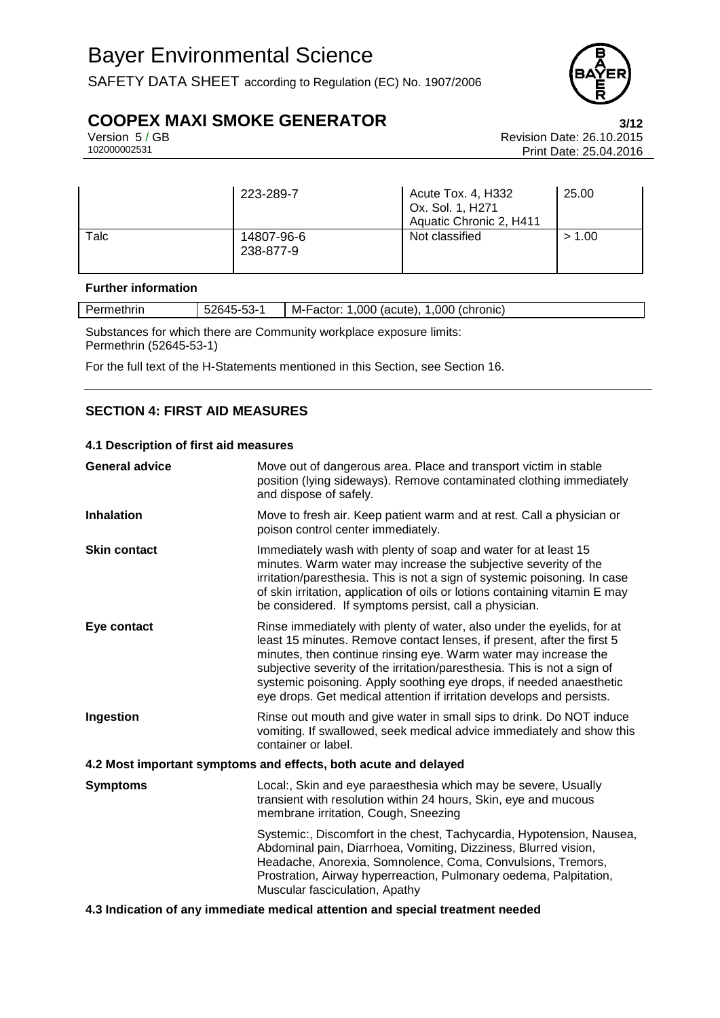SAFETY DATA SHEET according to Regulation (EC) No. 1907/2006



# **COOPEX MAXI SMOKE GENERATOR**<br>Version 5/GB<br>Revision Date: 26.10.2015

Version 5 / GB Revision Date: 26.10.2015 Print Date: 25.04.2016

|      | 223-289-7               | Acute Tox. 4, H332<br>Ox. Sol. 1, H271<br>Aquatic Chronic 2, H411 | 25.00  |
|------|-------------------------|-------------------------------------------------------------------|--------|
| Talc | 14807-96-6<br>238-877-9 | Not classified                                                    | > 1.00 |

#### **Further information**

| - ንድ.<br>Permethrin<br>52645-<br>.ხპ- |  | M-Factor:<br>,000<br>.000<br>(chronic)<br>(acute). |  |  |
|---------------------------------------|--|----------------------------------------------------|--|--|
| ___<br>______                         |  |                                                    |  |  |

Substances for which there are Community workplace exposure limits: Permethrin (52645-53-1)

For the full text of the H-Statements mentioned in this Section, see Section 16.

#### **SECTION 4: FIRST AID MEASURES**

#### **4.1 Description of first aid measures**

| <b>General advice</b>                                                          | Move out of dangerous area. Place and transport victim in stable<br>position (lying sideways). Remove contaminated clothing immediately<br>and dispose of safely.                                                                                                                                                                                                                                                                               |  |  |
|--------------------------------------------------------------------------------|-------------------------------------------------------------------------------------------------------------------------------------------------------------------------------------------------------------------------------------------------------------------------------------------------------------------------------------------------------------------------------------------------------------------------------------------------|--|--|
| <b>Inhalation</b>                                                              | Move to fresh air. Keep patient warm and at rest. Call a physician or<br>poison control center immediately.                                                                                                                                                                                                                                                                                                                                     |  |  |
| <b>Skin contact</b>                                                            | Immediately wash with plenty of soap and water for at least 15<br>minutes. Warm water may increase the subjective severity of the<br>irritation/paresthesia. This is not a sign of systemic poisoning. In case<br>of skin irritation, application of oils or lotions containing vitamin E may<br>be considered. If symptoms persist, call a physician.                                                                                          |  |  |
| Eye contact                                                                    | Rinse immediately with plenty of water, also under the eyelids, for at<br>least 15 minutes. Remove contact lenses, if present, after the first 5<br>minutes, then continue rinsing eye. Warm water may increase the<br>subjective severity of the irritation/paresthesia. This is not a sign of<br>systemic poisoning. Apply soothing eye drops, if needed anaesthetic<br>eye drops. Get medical attention if irritation develops and persists. |  |  |
| Ingestion                                                                      | Rinse out mouth and give water in small sips to drink. Do NOT induce<br>vomiting. If swallowed, seek medical advice immediately and show this<br>container or label.                                                                                                                                                                                                                                                                            |  |  |
|                                                                                | 4.2 Most important symptoms and effects, both acute and delayed                                                                                                                                                                                                                                                                                                                                                                                 |  |  |
| <b>Symptoms</b>                                                                | Local:, Skin and eye paraesthesia which may be severe, Usually<br>transient with resolution within 24 hours, Skin, eye and mucous<br>membrane irritation, Cough, Sneezing                                                                                                                                                                                                                                                                       |  |  |
|                                                                                | Systemic:, Discomfort in the chest, Tachycardia, Hypotension, Nausea,<br>Abdominal pain, Diarrhoea, Vomiting, Dizziness, Blurred vision,<br>Headache, Anorexia, Somnolence, Coma, Convulsions, Tremors,<br>Prostration, Airway hyperreaction, Pulmonary oedema, Palpitation,<br>Muscular fasciculation, Apathy                                                                                                                                  |  |  |
| 4.3 Indication of any immediate medical attention and special treatment needed |                                                                                                                                                                                                                                                                                                                                                                                                                                                 |  |  |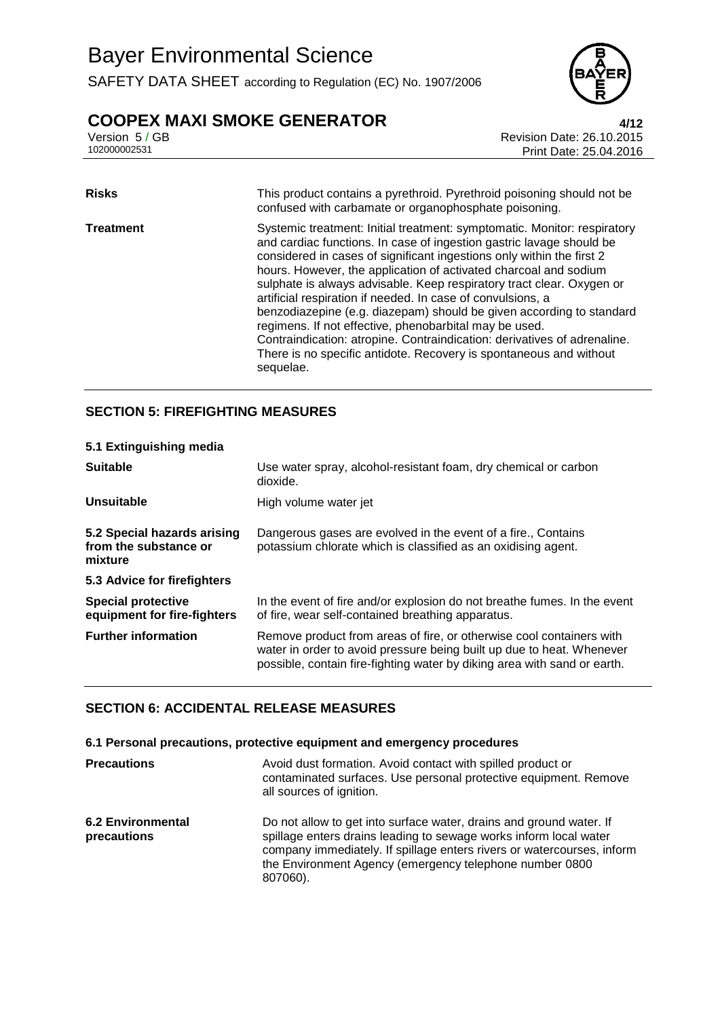SAFETY DATA SHEET according to Regulation (EC) No. 1907/2006



# **COOPEX MAXI SMOKE GENERATOR**<br>Version 5/GB<br>Revision Date: 26.10.2015

| <b>Risks</b>     | This product contains a pyrethroid. Pyrethroid poisoning should not be<br>confused with carbamate or organophosphate poisoning.                                                                                                                                                                                                                                                                                                                                                                                                                                                                                                                                                                                                        |
|------------------|----------------------------------------------------------------------------------------------------------------------------------------------------------------------------------------------------------------------------------------------------------------------------------------------------------------------------------------------------------------------------------------------------------------------------------------------------------------------------------------------------------------------------------------------------------------------------------------------------------------------------------------------------------------------------------------------------------------------------------------|
| <b>Treatment</b> | Systemic treatment: Initial treatment: symptomatic. Monitor: respiratory<br>and cardiac functions. In case of ingestion gastric lavage should be<br>considered in cases of significant ingestions only within the first 2<br>hours. However, the application of activated charcoal and sodium<br>sulphate is always advisable. Keep respiratory tract clear. Oxygen or<br>artificial respiration if needed. In case of convulsions, a<br>benzodiazepine (e.g. diazepam) should be given according to standard<br>regimens. If not effective, phenobarbital may be used.<br>Contraindication: atropine. Contraindication: derivatives of adrenaline.<br>There is no specific antidote. Recovery is spontaneous and without<br>sequelae. |

#### **SECTION 5: FIREFIGHTING MEASURES**

| 5.1 Extinguishing media                                         |                                                                                                                                                                                                                           |
|-----------------------------------------------------------------|---------------------------------------------------------------------------------------------------------------------------------------------------------------------------------------------------------------------------|
| <b>Suitable</b>                                                 | Use water spray, alcohol-resistant foam, dry chemical or carbon<br>dioxide.                                                                                                                                               |
| <b>Unsuitable</b>                                               | High volume water jet                                                                                                                                                                                                     |
| 5.2 Special hazards arising<br>from the substance or<br>mixture | Dangerous gases are evolved in the event of a fire., Contains<br>potassium chlorate which is classified as an oxidising agent.                                                                                            |
| 5.3 Advice for firefighters                                     |                                                                                                                                                                                                                           |
| <b>Special protective</b><br>equipment for fire-fighters        | In the event of fire and/or explosion do not breathe fumes. In the event<br>of fire, wear self-contained breathing apparatus.                                                                                             |
| <b>Further information</b>                                      | Remove product from areas of fire, or otherwise cool containers with<br>water in order to avoid pressure being built up due to heat. Whenever<br>possible, contain fire-fighting water by diking area with sand or earth. |

#### **SECTION 6: ACCIDENTAL RELEASE MEASURES**

**6.1 Personal precautions, protective equipment and emergency procedures**

| <b>Precautions</b>                      | Avoid dust formation. Avoid contact with spilled product or<br>contaminated surfaces. Use personal protective equipment. Remove<br>all sources of ignition.                                                                                                                               |
|-----------------------------------------|-------------------------------------------------------------------------------------------------------------------------------------------------------------------------------------------------------------------------------------------------------------------------------------------|
| <b>6.2 Environmental</b><br>precautions | Do not allow to get into surface water, drains and ground water. If<br>spillage enters drains leading to sewage works inform local water<br>company immediately. If spillage enters rivers or watercourses, inform<br>the Environment Agency (emergency telephone number 0800<br>807060). |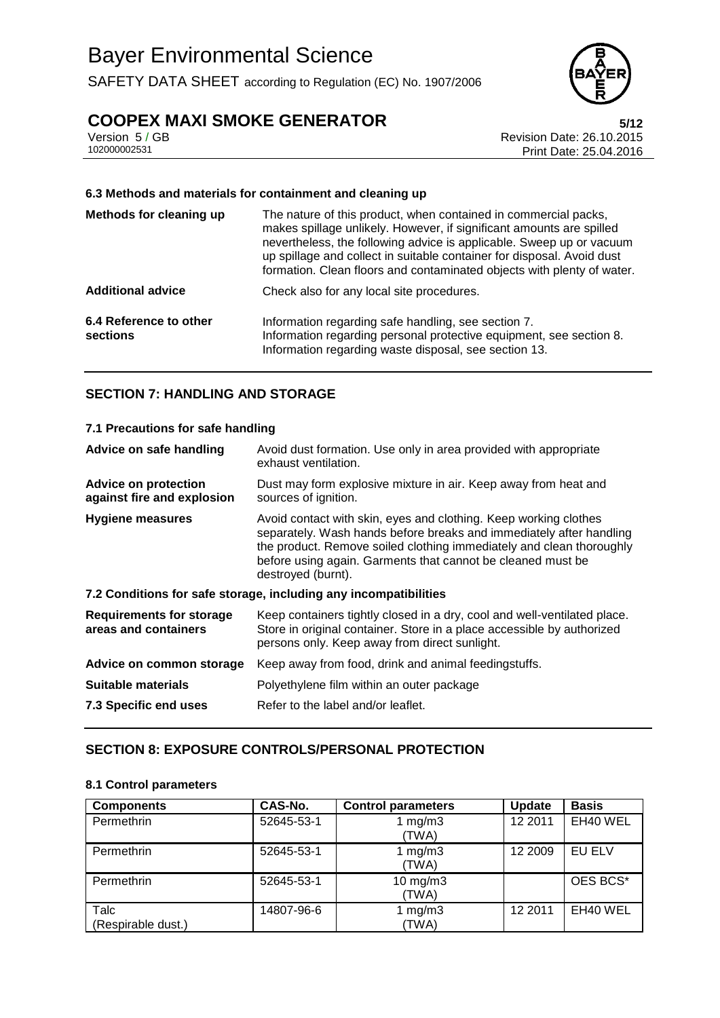SAFETY DATA SHEET according to Regulation (EC) No. 1907/2006



# **COOPEX MAXI SMOKE GENERATOR**<br>Version 5/GB<br>Revision Date: 26.10.2015

Version 5 / GB Revision Date: 26.10.2015 Print Date: 25.04.2016

#### **6.3 Methods and materials for containment and cleaning up**

| Methods for cleaning up            | The nature of this product, when contained in commercial packs,<br>makes spillage unlikely. However, if significant amounts are spilled<br>nevertheless, the following advice is applicable. Sweep up or vacuum<br>up spillage and collect in suitable container for disposal. Avoid dust<br>formation. Clean floors and contaminated objects with plenty of water. |
|------------------------------------|---------------------------------------------------------------------------------------------------------------------------------------------------------------------------------------------------------------------------------------------------------------------------------------------------------------------------------------------------------------------|
| <b>Additional advice</b>           | Check also for any local site procedures.                                                                                                                                                                                                                                                                                                                           |
| 6.4 Reference to other<br>sections | Information regarding safe handling, see section 7.<br>Information regarding personal protective equipment, see section 8.<br>Information regarding waste disposal, see section 13.                                                                                                                                                                                 |

#### **SECTION 7: HANDLING AND STORAGE**

| 7.1 Precautions for safe handling                         |                                                                                                                                                                                                                                                                                                      |  |  |
|-----------------------------------------------------------|------------------------------------------------------------------------------------------------------------------------------------------------------------------------------------------------------------------------------------------------------------------------------------------------------|--|--|
| Advice on safe handling                                   | Avoid dust formation. Use only in area provided with appropriate<br>exhaust ventilation.                                                                                                                                                                                                             |  |  |
| <b>Advice on protection</b><br>against fire and explosion | Dust may form explosive mixture in air. Keep away from heat and<br>sources of ignition.                                                                                                                                                                                                              |  |  |
| <b>Hygiene measures</b>                                   | Avoid contact with skin, eyes and clothing. Keep working clothes<br>separately. Wash hands before breaks and immediately after handling<br>the product. Remove soiled clothing immediately and clean thoroughly<br>before using again. Garments that cannot be cleaned must be<br>destroyed (burnt). |  |  |
|                                                           | 7.2 Conditions for safe storage, including any incompatibilities                                                                                                                                                                                                                                     |  |  |
| <b>Requirements for storage</b><br>areas and containers   | Keep containers tightly closed in a dry, cool and well-ventilated place.<br>Store in original container. Store in a place accessible by authorized<br>persons only. Keep away from direct sunlight.                                                                                                  |  |  |
| Advice on common storage                                  | Keep away from food, drink and animal feedingstuffs.                                                                                                                                                                                                                                                 |  |  |
| <b>Suitable materials</b>                                 | Polyethylene film within an outer package                                                                                                                                                                                                                                                            |  |  |
| 7.3 Specific end uses                                     | Refer to the label and/or leaflet.                                                                                                                                                                                                                                                                   |  |  |

#### **SECTION 8: EXPOSURE CONTROLS/PERSONAL PROTECTION**

#### **8.1 Control parameters**

| <b>Components</b>          | CAS-No.    | <b>Control parameters</b> | <b>Update</b> | <b>Basis</b> |
|----------------------------|------------|---------------------------|---------------|--------------|
| Permethrin                 | 52645-53-1 | 1 $mg/m3$<br>(TWA)        | 12 2011       | EH40 WEL     |
| Permethrin                 | 52645-53-1 | 1 mg/m $3$<br>(TWA)       | 12 2009       | EU ELV       |
| Permethrin                 | 52645-53-1 | $10$ mg/m $3$<br>(TWA)    |               | OES BCS*     |
| Talc<br>(Respirable dust.) | 14807-96-6 | 1 $mg/m3$<br>(TWA)        | 12 2011       | EH40 WEL     |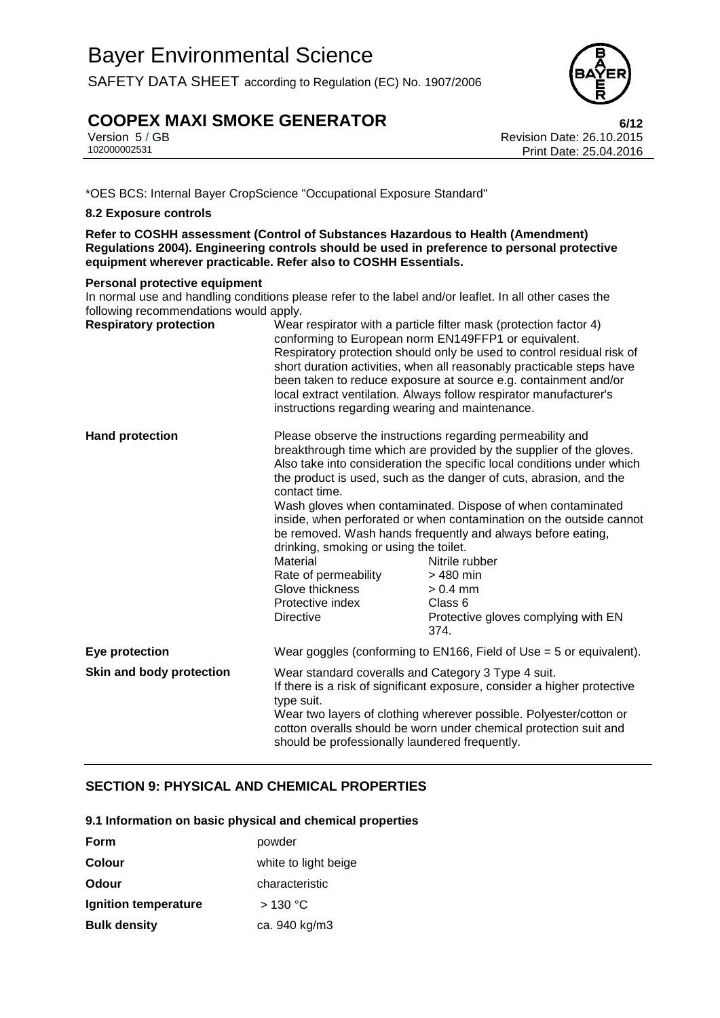SAFETY DATA SHEET according to Regulation (EC) No. 1907/2006

# **COOPEX MAXI SMOKE GENERATOR**<br>Version 5/GB<br>Revision Date: 26.10.2015

Version 5 / GB Revision Date: 26.10.2015 Print Date: 25.04.2016

\*OES BCS: Internal Bayer CropScience "Occupational Exposure Standard"

#### **8.2 Exposure controls**

**Refer to COSHH assessment (Control of Substances Hazardous to Health (Amendment) Regulations 2004). Engineering controls should be used in preference to personal protective equipment wherever practicable. Refer also to COSHH Essentials.**

#### **Personal protective equipment**

In normal use and handling conditions please refer to the label and/or leaflet. In all other cases the following recommendations would apply.

| <b>Respiratory protection</b> | Wear respirator with a particle filter mask (protection factor 4)<br>conforming to European norm EN149FFP1 or equivalent.<br>Respiratory protection should only be used to control residual risk of<br>short duration activities, when all reasonably practicable steps have<br>been taken to reduce exposure at source e.g. containment and/or<br>local extract ventilation. Always follow respirator manufacturer's<br>instructions regarding wearing and maintenance. |                                                                                                                                                                                                                                                                                                                                                                                                                                                                                                                                                                                               |
|-------------------------------|--------------------------------------------------------------------------------------------------------------------------------------------------------------------------------------------------------------------------------------------------------------------------------------------------------------------------------------------------------------------------------------------------------------------------------------------------------------------------|-----------------------------------------------------------------------------------------------------------------------------------------------------------------------------------------------------------------------------------------------------------------------------------------------------------------------------------------------------------------------------------------------------------------------------------------------------------------------------------------------------------------------------------------------------------------------------------------------|
| <b>Hand protection</b>        | contact time.<br>drinking, smoking or using the toilet.<br>Material<br>Rate of permeability<br>Glove thickness<br>Protective index<br><b>Directive</b>                                                                                                                                                                                                                                                                                                                   | Please observe the instructions regarding permeability and<br>breakthrough time which are provided by the supplier of the gloves.<br>Also take into consideration the specific local conditions under which<br>the product is used, such as the danger of cuts, abrasion, and the<br>Wash gloves when contaminated. Dispose of when contaminated<br>inside, when perforated or when contamination on the outside cannot<br>be removed. Wash hands frequently and always before eating,<br>Nitrile rubber<br>> 480 min<br>$> 0.4$ mm<br>Class 6<br>Protective gloves complying with EN<br>374. |
| Eye protection                | Wear goggles (conforming to $EN166$ , Field of Use = 5 or equivalent).                                                                                                                                                                                                                                                                                                                                                                                                   |                                                                                                                                                                                                                                                                                                                                                                                                                                                                                                                                                                                               |
| Skin and body protection      | Wear standard coveralls and Category 3 Type 4 suit.<br>If there is a risk of significant exposure, consider a higher protective<br>type suit.<br>Wear two layers of clothing wherever possible. Polyester/cotton or<br>cotton overalls should be worn under chemical protection suit and<br>should be professionally laundered frequently.                                                                                                                               |                                                                                                                                                                                                                                                                                                                                                                                                                                                                                                                                                                                               |

### **SECTION 9: PHYSICAL AND CHEMICAL PROPERTIES**

**9.1 Information on basic physical and chemical properties**

| Form                 | powder               |
|----------------------|----------------------|
| <b>Colour</b>        | white to light beige |
| Odour                | characteristic       |
| Ignition temperature | >130 °C              |
| <b>Bulk density</b>  | ca. 940 kg/m3        |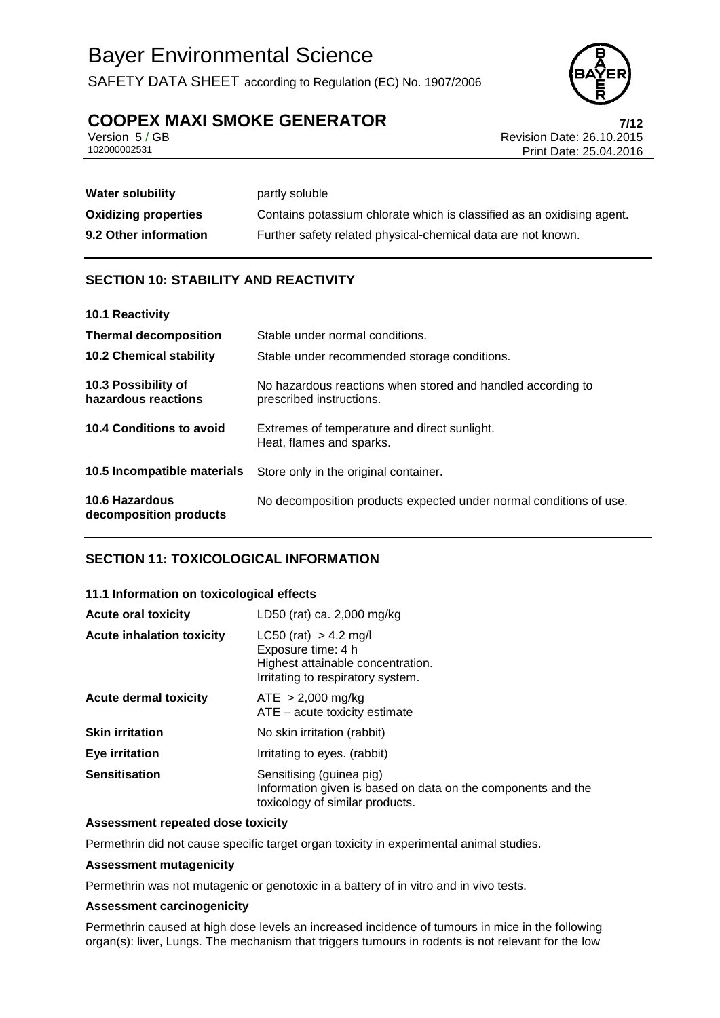SAFETY DATA SHEET according to Regulation (EC) No. 1907/2006



# **COOPEX MAXI SMOKE GENERATOR**<br>**Persion 5/GB** Revision Date: 26.10.2015

Version 5 / GB Revision Date: 26.10.2015 Print Date: 25.04.2016

| <b>Water solubility</b>     | partly soluble                                                         |
|-----------------------------|------------------------------------------------------------------------|
| <b>Oxidizing properties</b> | Contains potassium chlorate which is classified as an oxidising agent. |
| 9.2 Other information       | Further safety related physical-chemical data are not known.           |

### **SECTION 10: STABILITY AND REACTIVITY**

| 10.1 Reactivity                            |                                                                                         |
|--------------------------------------------|-----------------------------------------------------------------------------------------|
| <b>Thermal decomposition</b>               | Stable under normal conditions.                                                         |
| <b>10.2 Chemical stability</b>             | Stable under recommended storage conditions.                                            |
| 10.3 Possibility of<br>hazardous reactions | No hazardous reactions when stored and handled according to<br>prescribed instructions. |
| 10.4 Conditions to avoid                   | Extremes of temperature and direct sunlight.<br>Heat, flames and sparks.                |
| 10.5 Incompatible materials                | Store only in the original container.                                                   |
| 10.6 Hazardous<br>decomposition products   | No decomposition products expected under normal conditions of use.                      |

### **SECTION 11: TOXICOLOGICAL INFORMATION**

#### **11.1 Information on toxicological effects**

| <b>Acute oral toxicity</b>       | LD50 (rat) ca. 2,000 mg/kg                                                                                                  |
|----------------------------------|-----------------------------------------------------------------------------------------------------------------------------|
| <b>Acute inhalation toxicity</b> | $LC50$ (rat) > 4.2 mg/l<br>Exposure time: 4 h<br>Highest attainable concentration.<br>Irritating to respiratory system.     |
| <b>Acute dermal toxicity</b>     | $ATE > 2,000$ mg/kg<br>ATE – acute toxicity estimate                                                                        |
| <b>Skin irritation</b>           | No skin irritation (rabbit)                                                                                                 |
| <b>Eye irritation</b>            | Irritating to eyes. (rabbit)                                                                                                |
| <b>Sensitisation</b>             | Sensitising (guinea pig)<br>Information given is based on data on the components and the<br>toxicology of similar products. |

#### **Assessment repeated dose toxicity**

Permethrin did not cause specific target organ toxicity in experimental animal studies.

#### **Assessment mutagenicity**

Permethrin was not mutagenic or genotoxic in a battery of in vitro and in vivo tests.

#### **Assessment carcinogenicity**

Permethrin caused at high dose levels an increased incidence of tumours in mice in the following organ(s): liver, Lungs. The mechanism that triggers tumours in rodents is not relevant for the low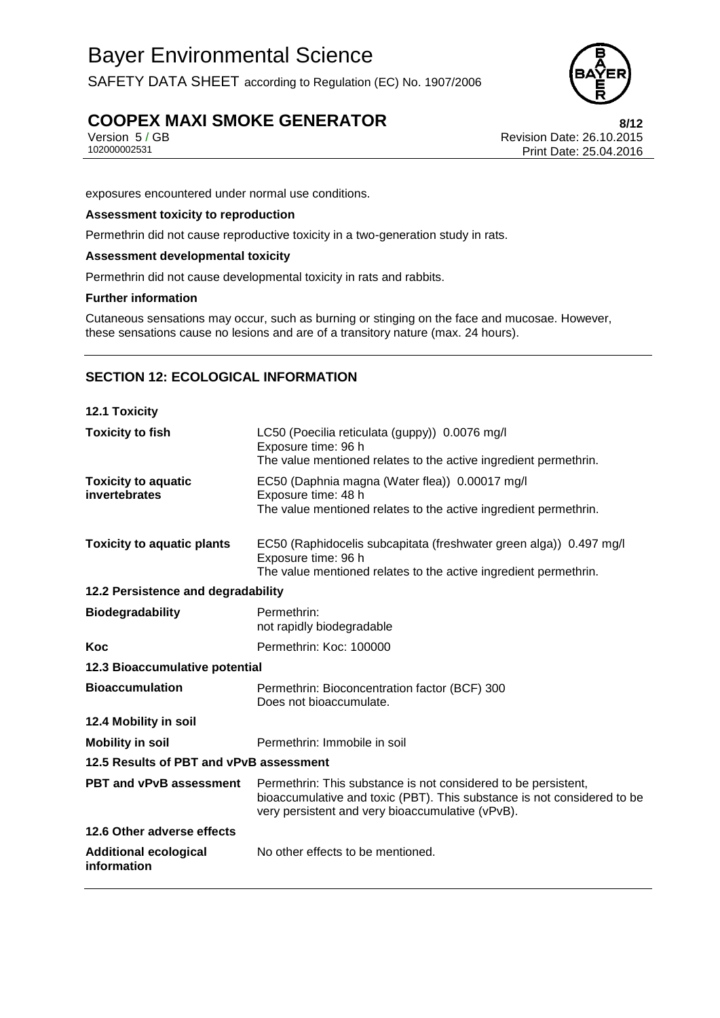SAFETY DATA SHEET according to Regulation (EC) No. 1907/2006



# **COOPEX MAXI SMOKE GENERATOR**<br>Version 5/GB<br>Revision Date: 26.10.2015

Version 5 / GB Revision Date: 26.10.2015 Print Date: 25.04.2016

exposures encountered under normal use conditions.

#### **Assessment toxicity to reproduction**

Permethrin did not cause reproductive toxicity in a two-generation study in rats.

#### **Assessment developmental toxicity**

Permethrin did not cause developmental toxicity in rats and rabbits.

#### **Further information**

Cutaneous sensations may occur, such as burning or stinging on the face and mucosae. However, these sensations cause no lesions and are of a transitory nature (max. 24 hours).

#### **SECTION 12: ECOLOGICAL INFORMATION**

| 12.1 Toxicity                               |                                                                                                                                                                                               |  |
|---------------------------------------------|-----------------------------------------------------------------------------------------------------------------------------------------------------------------------------------------------|--|
| <b>Toxicity to fish</b>                     | LC50 (Poecilia reticulata (guppy)) 0.0076 mg/l<br>Exposure time: 96 h<br>The value mentioned relates to the active ingredient permethrin.                                                     |  |
| <b>Toxicity to aquatic</b><br>invertebrates | EC50 (Daphnia magna (Water flea)) 0.00017 mg/l<br>Exposure time: 48 h<br>The value mentioned relates to the active ingredient permethrin.                                                     |  |
| <b>Toxicity to aquatic plants</b>           | EC50 (Raphidocelis subcapitata (freshwater green alga)) 0.497 mg/l<br>Exposure time: 96 h<br>The value mentioned relates to the active ingredient permethrin.                                 |  |
| 12.2 Persistence and degradability          |                                                                                                                                                                                               |  |
| <b>Biodegradability</b>                     | Permethrin:<br>not rapidly biodegradable                                                                                                                                                      |  |
| <b>Koc</b>                                  | Permethrin: Koc: 100000                                                                                                                                                                       |  |
| 12.3 Bioaccumulative potential              |                                                                                                                                                                                               |  |
| <b>Bioaccumulation</b>                      | Permethrin: Bioconcentration factor (BCF) 300<br>Does not bioaccumulate.                                                                                                                      |  |
| 12.4 Mobility in soil                       |                                                                                                                                                                                               |  |
| <b>Mobility in soil</b>                     | Permethrin: Immobile in soil                                                                                                                                                                  |  |
| 12.5 Results of PBT and vPvB assessment     |                                                                                                                                                                                               |  |
| <b>PBT and vPvB assessment</b>              | Permethrin: This substance is not considered to be persistent,<br>bioaccumulative and toxic (PBT). This substance is not considered to be<br>very persistent and very bioaccumulative (vPvB). |  |
| 12.6 Other adverse effects                  |                                                                                                                                                                                               |  |
| <b>Additional ecological</b><br>information | No other effects to be mentioned.                                                                                                                                                             |  |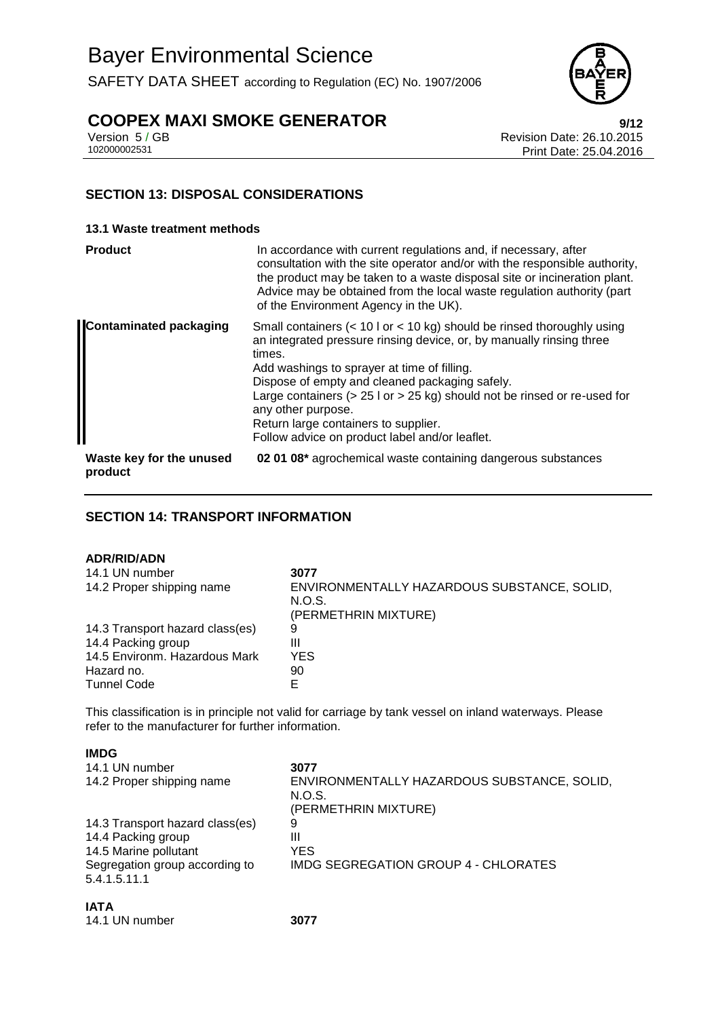SAFETY DATA SHEET according to Regulation (EC) No. 1907/2006



# **COOPEX MAXI SMOKE GENERATOR**<br>**Physical Date: 26.10.2015**<br>Revision Date: 26.10.2015

Version 5 / GB Revision Date: 26.10.2015 Print Date: 25.04.2016

### **SECTION 13: DISPOSAL CONSIDERATIONS**

#### **13.1 Waste treatment methods**

| <b>Product</b>                      | In accordance with current regulations and, if necessary, after<br>consultation with the site operator and/or with the responsible authority,<br>the product may be taken to a waste disposal site or incineration plant.<br>Advice may be obtained from the local waste regulation authority (part<br>of the Environment Agency in the UK).                                                                                                                   |
|-------------------------------------|----------------------------------------------------------------------------------------------------------------------------------------------------------------------------------------------------------------------------------------------------------------------------------------------------------------------------------------------------------------------------------------------------------------------------------------------------------------|
| <b>Contaminated packaging</b>       | Small containers $(< 10$ l or $< 10$ kg) should be rinsed thoroughly using<br>an integrated pressure rinsing device, or, by manually rinsing three<br>times.<br>Add washings to sprayer at time of filling.<br>Dispose of empty and cleaned packaging safely.<br>Large containers ( $> 25$ l or $> 25$ kg) should not be rinsed or re-used for<br>any other purpose.<br>Return large containers to supplier.<br>Follow advice on product label and/or leaflet. |
| Waste key for the unused<br>product | 02 01 08* agrochemical waste containing dangerous substances                                                                                                                                                                                                                                                                                                                                                                                                   |

#### **SECTION 14: TRANSPORT INFORMATION**

#### **ADR/RID/ADN**

| .                               |                                             |
|---------------------------------|---------------------------------------------|
| 14.1 UN number                  | 3077                                        |
| 14.2 Proper shipping name       | ENVIRONMENTALLY HAZARDOUS SUBSTANCE, SOLID, |
|                                 | N.O.S.                                      |
|                                 | (PERMETHRIN MIXTURE)                        |
| 14.3 Transport hazard class(es) | 9                                           |
| 14.4 Packing group              | Ш                                           |
| 14.5 Environm. Hazardous Mark   | YES                                         |
| Hazard no.                      | 90                                          |
| <b>Tunnel Code</b>              | F                                           |
|                                 |                                             |

This classification is in principle not valid for carriage by tank vessel on inland waterways. Please refer to the manufacturer for further information.

| 5.4.1.5.11.1                    |                                             |
|---------------------------------|---------------------------------------------|
| Segregation group according to  | IMDG SEGREGATION GROUP 4 - CHLORATES        |
| 14.5 Marine pollutant           | YES                                         |
| 14.4 Packing group              | Ш                                           |
| 14.3 Transport hazard class(es) | 9                                           |
|                                 | (PERMETHRIN MIXTURE)                        |
|                                 | N.O.S.                                      |
| 14.2 Proper shipping name       | ENVIRONMENTALLY HAZARDOUS SUBSTANCE, SOLID, |
| 14.1 UN number                  | 3077                                        |
|                                 |                                             |

| <b>IATA</b>    |      |
|----------------|------|
| 14.1 UN number | 3077 |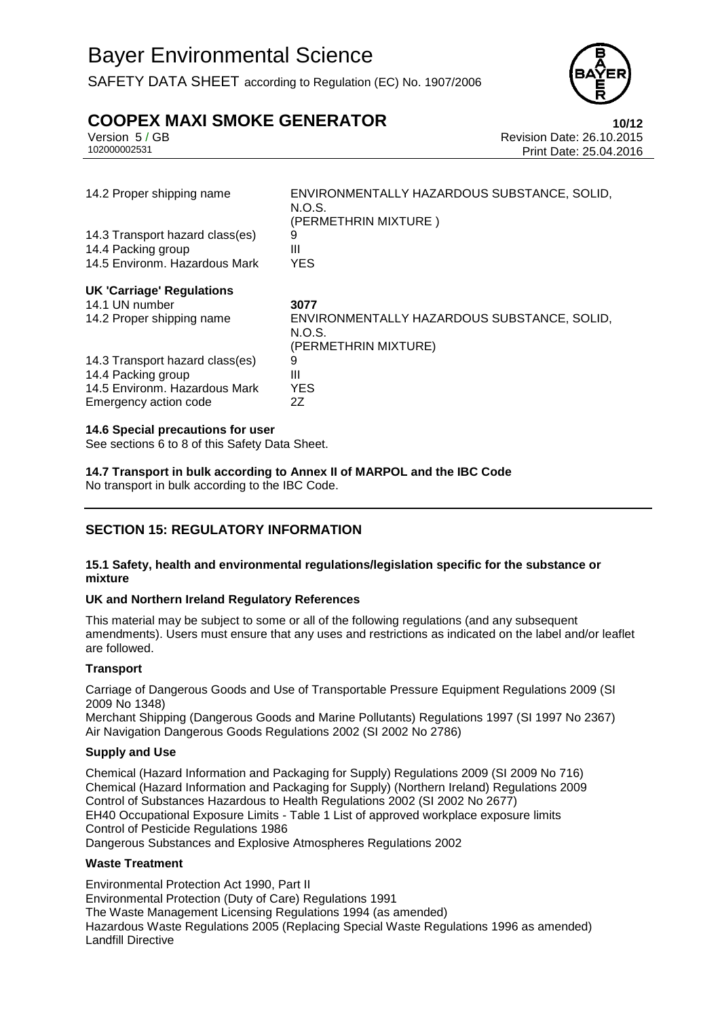SAFETY DATA SHEET according to Regulation (EC) No. 1907/2006



# **COOPEX MAXI SMOKE GENERATOR**<br>Version 5/GB<br>Revision Date: 26.10.2015

Version 5 / GB Revision Date: 26.10.2015 Print Date: 25.04.2016

| 14.2 Proper shipping name        | ENVIRONMENTALLY HAZARDOUS SUBSTANCE, SOLID,<br>N.O.S.<br>(PERMETHRIN MIXTURE) |
|----------------------------------|-------------------------------------------------------------------------------|
| 14.3 Transport hazard class(es)  | 9                                                                             |
| 14.4 Packing group               | Ш                                                                             |
| 14.5 Environm. Hazardous Mark    | <b>YES</b>                                                                    |
| <b>UK 'Carriage' Regulations</b> |                                                                               |
| 14.1 UN number                   | 3077                                                                          |
| 14.2 Proper shipping name        | ENVIRONMENTALLY HAZARDOUS SUBSTANCE, SOLID,<br>N.O.S.<br>(PERMETHRIN MIXTURE) |
| 14.3 Transport hazard class(es)  | 9                                                                             |
| 14.4 Packing group               | Ш                                                                             |
| 14.5 Environm. Hazardous Mark    | <b>YES</b>                                                                    |
| Emergency action code            | 2Z                                                                            |
|                                  |                                                                               |

#### **14.6 Special precautions for user**

See sections 6 to 8 of this Safety Data Sheet.

**14.7 Transport in bulk according to Annex II of MARPOL and the IBC Code** No transport in bulk according to the IBC Code.

### **SECTION 15: REGULATORY INFORMATION**

#### **15.1 Safety, health and environmental regulations/legislation specific for the substance or mixture**

#### **UK and Northern Ireland Regulatory References**

This material may be subject to some or all of the following regulations (and any subsequent amendments). Users must ensure that any uses and restrictions as indicated on the label and/or leaflet are followed.

#### **Transport**

Carriage of Dangerous Goods and Use of Transportable Pressure Equipment Regulations 2009 (SI 2009 No 1348)

Merchant Shipping (Dangerous Goods and Marine Pollutants) Regulations 1997 (SI 1997 No 2367) Air Navigation Dangerous Goods Regulations 2002 (SI 2002 No 2786)

#### **Supply and Use**

Chemical (Hazard Information and Packaging for Supply) Regulations 2009 (SI 2009 No 716) Chemical (Hazard Information and Packaging for Supply) (Northern Ireland) Regulations 2009 Control of Substances Hazardous to Health Regulations 2002 (SI 2002 No 2677) EH40 Occupational Exposure Limits - Table 1 List of approved workplace exposure limits Control of Pesticide Regulations 1986 Dangerous Substances and Explosive Atmospheres Regulations 2002

#### **Waste Treatment**

Environmental Protection Act 1990, Part II Environmental Protection (Duty of Care) Regulations 1991 The Waste Management Licensing Regulations 1994 (as amended) Hazardous Waste Regulations 2005 (Replacing Special Waste Regulations 1996 as amended) Landfill Directive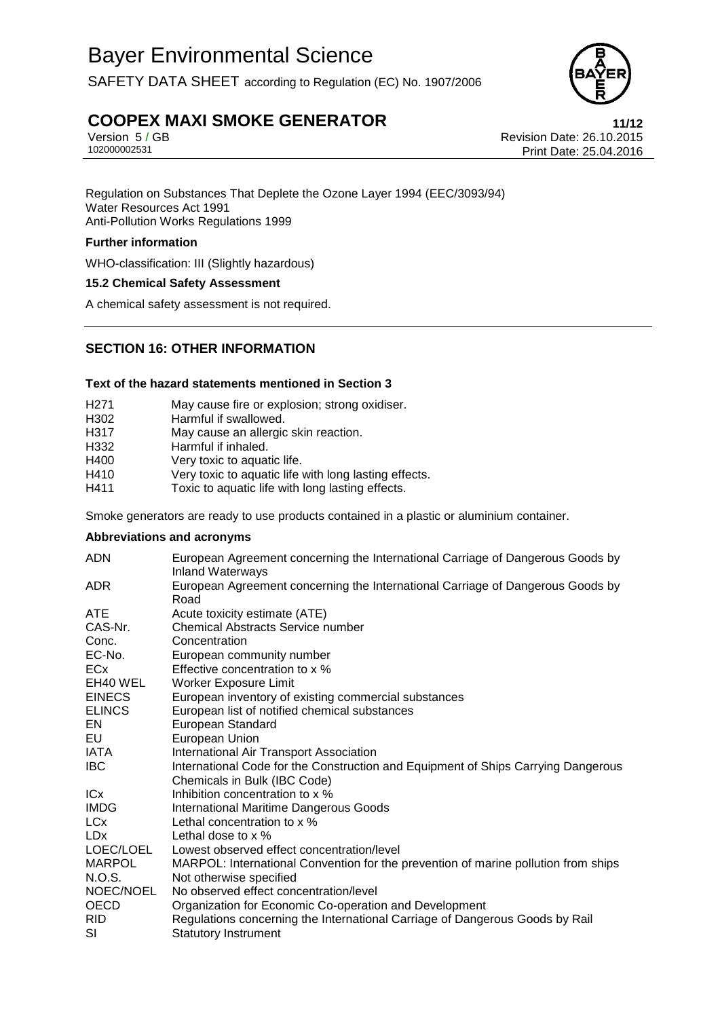SAFETY DATA SHEET according to Regulation (EC) No. 1907/2006



# **COOPEX MAXI SMOKE GENERATOR**<br>**11/12** Version 5/GB<br>Revision Date: 26.10.2015

Version 5 / GB Revision Date: 26.10.2015 Print Date: 25.04.2016

Regulation on Substances That Deplete the Ozone Layer 1994 (EEC/3093/94) Water Resources Act 1991 Anti-Pollution Works Regulations 1999

#### **Further information**

WHO-classification: III (Slightly hazardous)

#### **15.2 Chemical Safety Assessment**

A chemical safety assessment is not required.

#### **SECTION 16: OTHER INFORMATION**

#### **Text of the hazard statements mentioned in Section 3**

| H <sub>271</sub> | May cause fire or explosion; strong oxidiser.         |
|------------------|-------------------------------------------------------|
| H302             | Harmful if swallowed.                                 |
| H317             | May cause an allergic skin reaction.                  |
| H332             | Harmful if inhaled.                                   |
| H400             | Very toxic to aquatic life.                           |
| H410             | Very toxic to aquatic life with long lasting effects. |
| H411             | Toxic to aquatic life with long lasting effects.      |

Smoke generators are ready to use products contained in a plastic or aluminium container.

#### **Abbreviations and acronyms**

| <b>ADN</b>    | European Agreement concerning the International Carriage of Dangerous Goods by<br><b>Inland Waterways</b> |  |
|---------------|-----------------------------------------------------------------------------------------------------------|--|
| ADR.          | European Agreement concerning the International Carriage of Dangerous Goods by<br>Road                    |  |
| ATE           | Acute toxicity estimate (ATE)                                                                             |  |
| CAS-Nr.       | <b>Chemical Abstracts Service number</b>                                                                  |  |
| Conc.         | Concentration                                                                                             |  |
| EC-No.        | European community number                                                                                 |  |
| <b>ECx</b>    | Effective concentration to x %                                                                            |  |
| EH40 WEL      | Worker Exposure Limit                                                                                     |  |
| <b>EINECS</b> | European inventory of existing commercial substances                                                      |  |
| <b>ELINCS</b> | European list of notified chemical substances                                                             |  |
| EN            | European Standard                                                                                         |  |
| EU            | European Union                                                                                            |  |
| IATA          | International Air Transport Association                                                                   |  |
| <b>IBC</b>    | International Code for the Construction and Equipment of Ships Carrying Dangerous                         |  |
|               | Chemicals in Bulk (IBC Code)                                                                              |  |
| <b>ICx</b>    | Inhibition concentration to x %                                                                           |  |
| <b>IMDG</b>   | <b>International Maritime Dangerous Goods</b>                                                             |  |
| <b>LCx</b>    | Lethal concentration to x %                                                                               |  |
| <b>LDx</b>    | Lethal dose to $\times$ %                                                                                 |  |
| LOEC/LOEL     | Lowest observed effect concentration/level                                                                |  |
| <b>MARPOL</b> | MARPOL: International Convention for the prevention of marine pollution from ships                        |  |
| N.O.S.        | Not otherwise specified                                                                                   |  |
| NOEC/NOEL     | No observed effect concentration/level                                                                    |  |
| <b>OECD</b>   | Organization for Economic Co-operation and Development                                                    |  |
| <b>RID</b>    | Regulations concerning the International Carriage of Dangerous Goods by Rail                              |  |
| SI            | <b>Statutory Instrument</b>                                                                               |  |